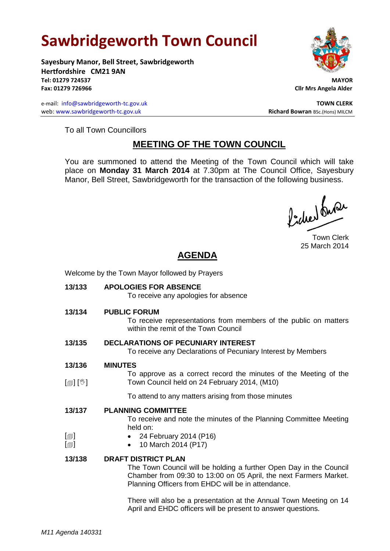# **Sawbridgeworth Town Council**

**Sayesbury Manor, Bell Street, Sawbridgeworth Hertfordshire CM21 9AN Tel: 01279 724537 MAYOR Fax: 01279 726966 Cllr Mrs Angela Alder**

e-mail: [info@sawbridgeworth-tc.gov.uk](mailto:info@sawbridgeworth-tc.gov.uk) **TOWN CLERK** web: www.sawbridgeworth-tc.gov.uk<br> **Richard Bowran** BSc.(Hons) MILCM



To all Town Councillors

### **MEETING OF THE TOWN COUNCIL**

You are summoned to attend the Meeting of the Town Council which will take place on **Monday 31 March 2014** at 7.30pm at The Council Office, Sayesbury Manor, Bell Street, Sawbridgeworth for the transaction of the following business.

Picked buran

Town Clerk 25 March 2014

## **AGENDA**

Welcome by the Town Mayor followed by Prayers

**13/133 APOLOGIES FOR ABSENCE** To receive any apologies for absence **13/134 PUBLIC FORUM** To receive representations from members of the public on matters within the remit of the Town Council **13/135 DECLARATIONS OF PECUNIARY INTEREST** To receive any Declarations of Pecuniary Interest by Members **13/136**  $\lceil \frac{m}{2} \rceil$   $\lceil \frac{m}{2} \rceil$ **MINUTES** To approve as a correct record the minutes of the Meeting of the Town Council held on 24 February 2014, (M10) To attend to any matters arising from those minutes **13/137**  $\lceil$  $\blacksquare$  $\lceil$  $\blacksquare$ **PLANNING COMMITTEE** To receive and note the minutes of the Planning Committee Meeting held on: 24 February 2014 (P16) 10 March 2014 (P17) **13/138 DRAFT DISTRICT PLAN** The Town Council will be holding a further Open Day in the Council Chamber from 09:30 to 13:00 on 05 April, the next Farmers Market. Planning Officers from EHDC will be in attendance. There will also be a presentation at the Annual Town Meeting on 14 April and EHDC officers will be present to answer questions.